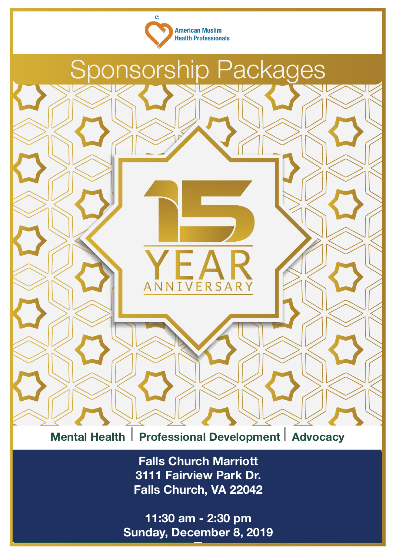



**Mental Health** I **Professional Development** I **Advocacy**

**Waterford Banquet Hall Falls Church Marriott Falls Church Marriott** 3111 Fairview Park Dr **3111 Fairview Park Dr.** Falls Church, VA 22042 **Falls Church, VA 22042**

**Saturday, December 8, 2019** 12:00 pm - 3:30 pm **11:30 am - 2:30 pm**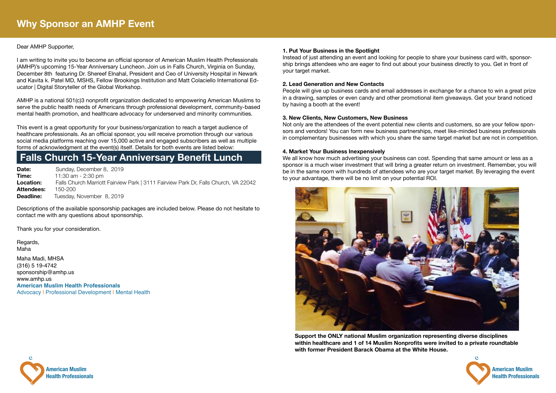

**American Muslim Health Professionals**

### Dear AMHP Supporter,

I am writing to invite you to become an official sponsor of American Muslim Health Professionals (AMHP)'s upcoming 15-Year Anniversary Luncheon. Join us in Falls Church, Virginia on Sunday, December 8th featuring Dr. Shereef Elnahal, President and Ceo of University Hospital in Newark and Kavita k. Patel MD, MSHS, Fellow Brookings Institution and Matt Colaciello International Educator | Digital Storyteller of the Global Workshop.

AMHP is a national 501(c)3 nonprofit organization dedicated to empowering American Muslims to serve the public health needs of Americans through professional development, community-based mental health promotion, and healthcare advocacy for underserved and minority communities.

This event is a great opportunity for your business/organization to reach a target audience of healthcare professionals. As an official sponsor, you will receive promotion through our various social media platforms reaching over 15,000 active and engaged subscribers as well as multiple forms of acknowledgment at the event(s) itself. Details for both events are listed below:

### **Falls Church 15-Year Anniversary Benefit Lunch**

**Date:** Sunday, December 8, 2019 **Time: 11:30 am - 2:30 pm Location:** Falls Church Marriott Fairview Park | 3111 Fairview Park Dr, Falls Church, VA 22042 **Attendees:** 150-200 **Deadline:** Tuesday, November 8, 2019

Descriptions of the available sponsorship packages are included below. Please do not hesitate to contact me with any questions about sponsorship.

Thank you for your consideration.

Regards, Maha

Maha Madi, MHSA (316) 5 19-4742 sponsorship@amhp.us www.amhp.us **American Muslim Health Professionals** Advocacy | Professional Development | Mental Health

#### **1. Put Your Business in the Spotlight**

Instead of just attending an event and looking for people to share your business card with, sponsorship brings attendees who are eager to find out about your business directly to you. Get in front of your target market.

#### **2. Lead Generation and New Contacts**

People will give up business cards and email addresses in exchange for a chance to win a great prize in a drawing, samples or even candy and other promotional item giveaways. Get your brand noticed by having a booth at the event!

#### **3. New Clients, New Customers, New Business**

Not only are the attendees of the event potential new clients and customers, so are your fellow sponsors and vendors! You can form new business partnerships, meet like-minded business professionals in complementary businesses with which you share the same target market but are not in competition.

#### **4. Market Your Business Inexpensively**

We all know how much advertising your business can cost. Spending that same amount or less as a sponsor is a much wiser investment that will bring a greater return on investment. Remember, you will be in the same room with hundreds of attendees who are your target market. By leveraging the event to your advantage, there will be no limit on your potential ROI.



**Support the ONLY national Muslim organization representing diverse disciplines within healthcare and 1 of 14 Muslim Nonprofits were invited to a private roundtable with former President Barack Obama at the White House.**